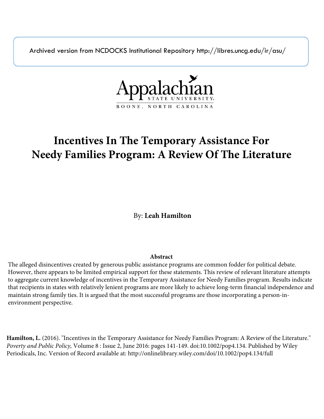Archived version from NCDOCKS Institutional Repository http://libres.uncg.edu/ir/asu/



# **Incentives In The Temporary Assistance For Needy Families Program: A Review Of The Literature**

By: **Leah Hamilton**

### **Abstract**

The alleged disincentives created by generous public assistance programs are common fodder for political debate. However, there appears to be limited empirical support for these statements. This review of relevant literature attempts to aggregate current knowledge of incentives in the Temporary Assistance for Needy Families program. Results indicate that recipients in states with relatively lenient programs are more likely to achieve long-term financial independence and maintain strong family ties. It is argued that the most successful programs are those incorporating a person-inenvironment perspective.

**Hamilton, L.** (2016). "Incentives in the Temporary Assistance for Needy Families Program: A Review of the Literature." *Poverty and Public Policy,* Volume 8 : Issue 2, June 2016: pages 141-149. doi:10.1002/pop4.134. Published by Wiley Periodicals, Inc. Version of Record available at: http://onlinelibrary.wiley.com/doi/10.1002/pop4.134/full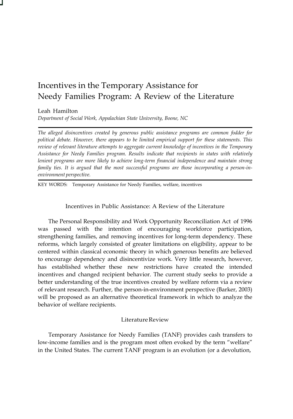## Incentives in the Temporary Assistance for Needy Families Program: A Review of the Literature

Leah Hamilton

*Department of Social Work, Appalachian State University, Boone, NC*

*The alleged disincentives created by generous public assistance programs are common fodder for political debate. However, there appears to be limited empirical support for these statements. This review of relevant literature attempts to aggregate current knowledge of incentives in the Temporary Assistance for Needy Families program. Results indicate that recipients in states with relatively lenient programs are more likely to achieve long-term financial independence and maintain strong family ties. It is argued that the most successful programs are those incorporating a person-inenvironment perspective.*

KEY WORDS: Temporary Assistance for Needy Families, welfare, incentives

Incentives in Public Assistance: A Review of the Literature

The Personal Responsibility and Work Opportunity Reconciliation Act of 1996 was passed with the intention of encouraging workforce participation, strengthening families, and removing incentives for long-term dependency. These reforms, which largely consisted of greater limitations on eligibility, appear to be centered within classical economic theory in which generous benefits are believed to encourage dependency and disincentivize work. Very little research, however, has established whether these new restrictions have created the intended incentives and changed recipient behavior. The current study seeks to provide a better understanding of the true incentives created by welfare reform via a review of relevant research. Further, the person-in-environment perspective (Barker, 2003) will be proposed as an alternative theoretical framework in which to analyze the behavior of welfare recipients.

#### Literature Review

Temporary Assistance for Needy Families (TANF) provides cash transfers to low-income families and is the program most often evoked by the term "welfare" in the United States. The current TANF program is an evolution (or a devolution,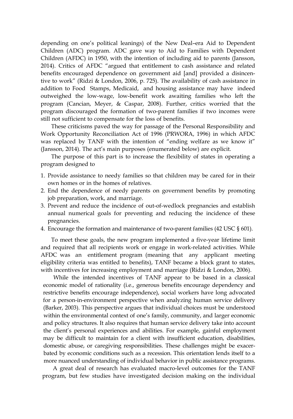depending on one's political leanings) of the New Deal–era Aid to Dependent Children (ADC) program. ADC gave way to Aid to Families with Dependent Children (AFDC) in 1950, with the intention of including aid to parents (Jansson, 2014). Critics of AFDC "argued that entitlement to cash assistance and related benefits encouraged dependence on government aid [and] provided a disincentive to work" (Ridzi & London, 2006, p. 725). The availability of cash assistance in addition to Food Stamps, Medicaid, and housing assistance may have indeed outweighed the low-wage, low-benefit work awaiting families who left the program (Cancian, Meyer, & Caspar, 2008). Further, critics worried that the program discouraged the formation of two-parent families if two incomes were still not sufficient to compensate for the loss of benefits.

These criticisms paved the way for passage of the Personal Responsibility and Work Opportunity Reconciliation Act of 1996 (PRWORA, 1996) in which AFDC was replaced by TANF with the intention of "ending welfare as we know it" (Jansson, 2014). The act's main purposes (enumerated below) are explicit.

The purpose of this part is to increase the flexibility of states in operating a program designed to

- 1. Provide assistance to needy families so that children may be cared for in their own homes or in the homes of relatives.
- 2. End the dependence of needy parents on government benefits by promoting job preparation, work, and marriage.
- 3. Prevent and reduce the incidence of out-of-wedlock pregnancies and establish annual numerical goals for preventing and reducing the incidence of these pregnancies.
- 4. Encourage the formation and maintenance of two-parent families (42 USC § 601).

To meet these goals, the new program implemented a five-year lifetime limit and required that all recipients work or engage in work-related activities. While AFDC was an entitlement program (meaning that any applicant meeting eligibility criteria was entitled to benefits), TANF became a block grant to states, with incentives for increasing employment and marriage (Ridzi & London, 2006).

While the intended incentives of TANF appear to be based in a classical economic model of rationality (i.e., generous benefits encourage dependency and restrictive benefits encourage independence), social workers have long advocated for a person-in-environment perspective when analyzing human service delivery (Barker, 2003). This perspective argues that individual choices must be understood within the environmental context of one's family, community, and larger economic and policy structures. It also requires that human service delivery take into account the client's personal experiences and abilities. For example, gainful employment may be difficult to maintain for a client with insufficient education, disabilities, domestic abuse, or caregiving responsibilities. These challenges might be exacerbated by economic conditions such as a recession. This orientation lends itself to a more nuanced understanding of individual behavior in public assistance programs.

A great deal of research has evaluated macro-level outcomes for the TANF program, but few studies have investigated decision making on the individual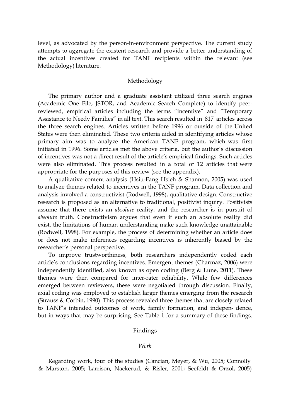level, as advocated by the person-in-environment perspective. The current study attempts to aggregate the existent research and provide a better understanding of the actual incentives created for TANF recipients within the relevant (see Methodology) literature.

#### Methodology

The primary author and a graduate assistant utilized three search engines (Academic One File, JSTOR, and Academic Search Complete) to identify peerreviewed, empirical articles including the terms "incentive" and "Temporary Assistance to Needy Families" in all text. This search resulted in 817 articles across the three search engines. Articles written before 1996 or outside of the United States were then eliminated. These two criteria aided in identifying articles whose primary aim was to analyze the American TANF program, which was first initiated in 1996. Some articles met the above criteria, but the author's discussion of incentives was not a direct result of the article's empirical findings. Such articles were also eliminated. This process resulted in a total of 12 articles that were appropriate for the purposes of this review (see the appendix).

A qualitative content analysis (Hsiu-Fang Hsieh & Shannon, 2005) was used to analyze themes related to incentives in the TANF program. Data collection and analysis involved a constructivist (Rodwell, 1998), qualitative design. Constructive research is proposed as an alternative to traditional, positivist inquiry. Positivists assume that there exists an *absolute* reality, and the researcher is in pursuit of *absolute* truth. Constructivism argues that even if such an absolute reality did exist, the limitations of human understanding make such knowledge unattainable (Rodwell, 1998). For example, the process of determining whether an article does or does not make inferences regarding incentives is inherently biased by the researcher's personal perspective.

To improve trustworthiness, both researchers independently coded each article's conclusions regarding incentives. Emergent themes (Charmaz, 2006) were independently identified, also known as open coding (Berg & Lune, 2011). These themes were then compared for inter-rater reliability. While few differences emerged between reviewers, these were negotiated through discussion. Finally, axial coding was employed to establish larger themes emerging from the research (Strauss & Corbin, 1990). This process revealed three themes that are closely related to TANF's intended outcomes of work, family formation, and indepen- dence, but in ways that may be surprising. See Table 1 for a summary of these findings.

#### Findings

#### *Work*

Regarding work, four of the studies (Cancian, Meyer, & Wu, 2005; Connolly & Marston, 2005; Larrison, Nackerud, & Risler, 2001; Seefeldt & Orzol, 2005)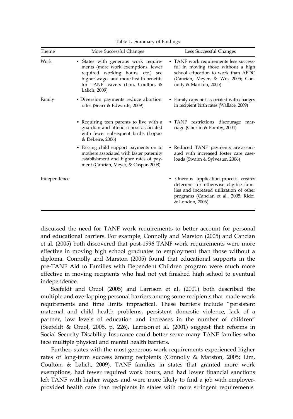| Theme        | More Successful Changes                                                                                                                                                                                        | Less Successful Changes                                                                                                                                                              |
|--------------|----------------------------------------------------------------------------------------------------------------------------------------------------------------------------------------------------------------|--------------------------------------------------------------------------------------------------------------------------------------------------------------------------------------|
| Work         | • States with generous work require-<br>ments (more work exemptions, fewer<br>required working hours, etc.) see<br>higher wages and more health benefits<br>for TANF leavers (Lim, Coulton, &<br>Lalich, 2009) | • TANF work requirements less success-<br>ful in moving those without a high<br>school education to work than AFDC<br>(Cancian, Meyer, & Wu, 2005; Con-<br>nolly & Marston, 2005)    |
| Family       | • Diversion payments reduce abortion<br>rates (Snarr & Edwards, 2009)                                                                                                                                          | • Family caps not associated with changes<br>in recipient birth rates (Wallace, 2009)                                                                                                |
|              | • Requiring teen parents to live with a<br>guardian and attend school associated<br>with fewer subsequent births (Lopoo<br>& DeLeire, 2006)                                                                    | • TANF restrictions discourage<br>mar-<br>riage (Cherlin & Fomby, 2004)                                                                                                              |
|              | • Passing child support payments on to<br>mothers associated with faster paternity<br>establishment and higher rates of pay-<br>ment (Cancian, Meyer, & Caspar, 2008)                                          | • Reduced TANF payments are associ-<br>ated with increased foster care case-<br>loads (Swann & Sylvester, 2006)                                                                      |
| Independence |                                                                                                                                                                                                                | Onerous application process creates<br>deterrent for otherwise eligible fami-<br>lies and increased utilization of other<br>programs (Cancian et al., 2005; Ridzi<br>& London, 2006) |

Table 1. Summary of Findings

discussed the need for TANF work requirements to better account for personal and educational barriers. For example, Connolly and Marston (2005) and Cancian et al. (2005) both discovered that post-1996 TANF work requirements were more effective in moving high school graduates to employment than those without a diploma. Connolly and Marston (2005) found that educational supports in the pre-TANF Aid to Families with Dependent Children program were much more effective in moving recipients who had not yet finished high school to eventual independence.

Seefeldt and Orzol (2005) and Larrison et al. (2001) both described the multiple and overlapping personal barriers among some recipients that made work requirements and time limits impractical. These barriers include "persistent maternal and child health problems, persistent domestic violence, lack of a partner, low levels of education and increases in the number of children" (Seefeldt & Orzol, 2005, p. 226). Larrison et al. (2001) suggest that reforms in Social Security Disability Insurance could better serve many TANF families who face multiple physical and mental health barriers.

Further, states with the most generous work requirements experienced higher rates of long-term success among recipients (Connolly & Marston, 2005; Lim, Coulton, & Lalich, 2009). TANF families in states that granted more work exemptions, had fewer required work hours, and had lower financial sanctions left TANF with higher wages and were more likely to find a job with employerprovided health care than recipients in states with more stringent requirements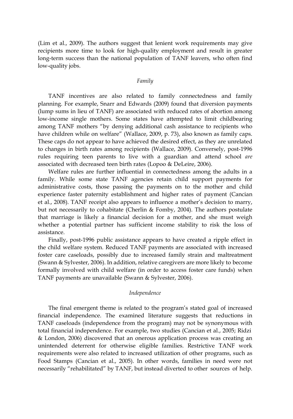(Lim et al., 2009). The authors suggest that lenient work requirements may give recipients more time to look for high-quality employment and result in greater long-term success than the national population of TANF leavers, who often find low-quality jobs.

#### *Family*

TANF incentives are also related to family connectedness and family planning. For example, Snarr and Edwards (2009) found that diversion payments (lump sums in lieu of TANF) are associated with reduced rates of abortion among low-income single mothers. Some states have attempted to limit childbearing among TANF mothers "by denying additional cash assistance to recipients who have children while on welfare" (Wallace, 2009, p. 73), also known as family caps. These caps do not appear to have achieved the desired effect, as they are unrelated to changes in birth rates among recipients (Wallace, 2009). Conversely, post-1996 rules requiring teen parents to live with a guardian and attend school *are* associated with decreased teen birth rates (Lopoo & DeLeire, 2006).

Welfare rules are further influential in connectedness among the adults in a family. While some state TANF agencies retain child support payments for administrative costs, those passing the payments on to the mother and child experience faster paternity establishment and higher rates of payment (Cancian et al., 2008). TANF receipt also appears to influence a mother's decision to marry, but not necessarily to cohabitate (Cherlin & Fomby, 2004). The authors postulate that marriage is likely a financial decision for a mother, and she must weigh whether a potential partner has sufficient income stability to risk the loss of assistance.

Finally, post-1996 public assistance appears to have created a ripple effect in the child welfare system. Reduced TANF payments are associated with increased foster care caseloads, possibly due to increased family strain and maltreatment (Swann & Sylvester, 2006). In addition, relative caregivers are more likely to become formally involved with child welfare (in order to access foster care funds) when TANF payments are unavailable (Swann & Sylvester, 2006).

#### *Independence*

The final emergent theme is related to the program's stated goal of increased financial independence. The examined literature suggests that reductions in TANF caseloads (independence from the program) may not be synonymous with total financial independence. For example, two studies (Cancian et al., 2005; Ridzi & London, 2006) discovered that an onerous application process was creating an unintended deterrent for otherwise eligible families. Restrictive TANF work requirements were also related to increased utilization of other programs, such as Food Stamps (Cancian et al., 2005). In other words, families in need were not necessarily "rehabilitated" by TANF, but instead diverted to other sources of help.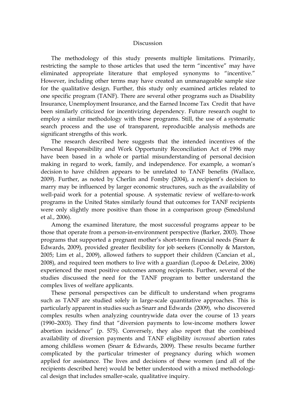#### Discussion

The methodology of this study presents multiple limitations. Primarily, restricting the sample to those articles that used the term "incentive" may have eliminated appropriate literature that employed synonyms to "incentive." However, including other terms may have created an unmanageable sample size for the qualitative design. Further, this study only examined articles related to one specific program (TANF). There are several other programs such as Disability Insurance, Unemployment Insurance, and the Earned Income Tax Credit that have been similarly criticized for incentivizing dependency. Future research ought to employ a similar methodology with these programs. Still, the use of a systematic search process and the use of transparent, reproducible analysis methods are significant strengths of this work.

The research described here suggests that the intended incentives of the Personal Responsibility and Work Opportunity Reconciliation Act of 1996 may have been based in a whole or partial misunderstanding of personal decision making in regard to work, family, and independence. For example, a woman's decision to have children appears to be unrelated to TANF benefits (Wallace, 2009). Further, as noted by Cherlin and Fomby (2004), a recipient's decision to marry may be influenced by larger economic structures, such as the availability of well-paid work for a potential spouse. A systematic review of welfare-to-work programs in the United States similarly found that outcomes for TANF recipients were only slightly more positive than those in a comparison group (Smedslund et al., 2006).

Among the examined literature, the most successful programs appear to be those that operate from a person-in-environment perspective (Barker, 2003). Those programs that supported a pregnant mother's short-term financial needs (Snarr & Edwards, 2009), provided greater flexibility for job seekers (Connolly & Marston, 2005; Lim et al., 2009), allowed fathers to support their children (Cancian et al., 2008), and required teen mothers to live with a guardian (Lopoo & DeLeire, 2006) experienced the most positive outcomes among recipients. Further, several of the studies discussed the need for the TANF program to better understand the complex lives of welfare applicants.

These personal perspectives can be difficult to understand when programs such as TANF are studied solely in large-scale quantitative approaches. This is particularly apparent in studies such as Snarr and Edwards (2009), who discovered complex results when analyzing countrywide data over the course of 13 years (1990–2003). They find that "diversion payments to low-income mothers lower abortion incidence" (p. 575). Conversely, they also report that the combined availability of diversion payments and TANF eligibility *increased* abortion rates among childless women (Snarr & Edwards, 2009). These results became further complicated by the particular trimester of pregnancy during which women applied for assistance. The lives and decisions of these women (and all of the recipients described here) would be better understood with a mixed methodological design that includes smaller-scale, qualitative inquiry.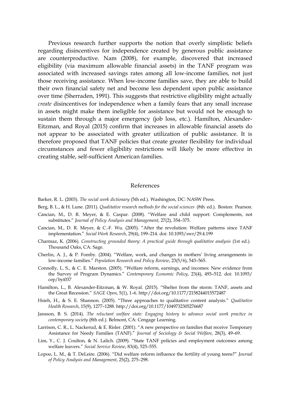Previous research further supports the notion that overly simplistic beliefs regarding disincentives for independence created by generous public assistance are counterproductive. Nam (2008), for example, discovered that increased eligibility (via maximum allowable financial assets) in the TANF program was associated with increased savings rates among all low-income families, not just those receiving assistance. When low-income families save, they are able to build their own financial safety net and become less dependent upon public assistance over time (Sherraden, 1991). This suggests that restrictive eligibility might actually *create* disincentives for independence when a family fears that any small increase in assets might make them ineligible for assistance but would not be enough to sustain them through a major emergency (job loss, etc.). Hamilton, Alexander-Eitzman, and Royal (2015) confirm that increases in allowable financial assets do not appear to be associated with greater utilization of public assistance. It is therefore proposed that TANF policies that create greater flexibility for individual circumstances and fewer eligibility restrictions will likely be more effective in creating stable, self-sufficient American families.

#### References

- Barker, R. L. (2003). *The social work dictionary* (5th ed.). Washington, DC: NASW Press.
- Berg, B. L., & H. Lune. (2011). *Qualitative research methods for the social sciences* (8th ed.). Boston: Pearson.
- Cancian, M., D. R. Meyer, & E. Caspar. (2008). "Welfare and child support: Complements, not substitutes." *Journal of Policy Analysis and Management*, 27(2), 354–375.
- Cancian, M., D. R. Meyer, & C.-F. Wu. (2005). "After the revolution: Welfare patterns since TANF implementation." *Social Work Research*, 29(4), 199–214. doi: 10.1093/swr/29.4.199
- Charmaz, K. (2006). *Constructing grounded theory: A practical guide through qualitative analysis* (1st ed.). Thousand Oaks, CA: Sage.
- Cherlin, A. J., & P. Fomby. (2004). "Welfare, work, and changes in mothers' living arrangements in low-income families." *Population Research and Policy Review*, 23(5/6), 543–565.
- Connolly, L. S., & C. E. Marston. (2005). "Welfare reform, earnings, and incomes: New evidence from the Survey of Program Dynamics." *Contemporary Economic Policy*, 23(4), 493–512. doi: 10.1093/ cep/byi037
- Hamilton, L., B. Alexander-Eitzman, & W. Royal. (2015). "Shelter from the storm: TANF, assets and the Great Recession." *SAGE Open*, 5(1), 1–6[. http://doi.org/10.1177/2158244015572487](http://doi.org/10.1177/2158244015572487)
- Hsieh, H., & S. E. Shannon. (2005). "Three approaches to qualitative content analysis." *Qualitative Health Research*, 15(9), 1277–1288. <http://doi.org/10.1177/1049732305276687>
- Jansson, B. S. (2014). *The reluctant welfare state: Engaging history to advance social work practice in contemporary society* (8th ed.). Belmont, CA: Cengage Learning.
- Larrison, C. R., L. Nackerud, & E. Risler. (2001). "A new perspective on families that receive Temporary Assistance for Needy Families (TANF)." *Journal of Sociology & Social Welfare*, 28(3), 49–69.
- Lim, Y., C. J. Coulton, & N. Lalich. (2009). "State TANF policies and employment outcomes among welfare leavers." *Social Service Review*, 83(4), 525–555.
- Lopoo, L. M., & T. DeLeire. (2006). "Did welfare reform influence the fertility of young teens?" *Journal of Policy Analysis and Management*, 25(2), 275–298.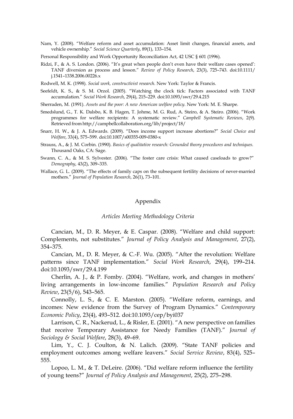Nam, Y. (2008). "Welfare reform and asset accumulation: Asset limit changes, financial assets, and vehicle ownership." *Social Science Quarterly*, 89(1), 133–154.

Personal Responsibility and Work Opportunity Reconciliation Act, 42 USC § 601 (1996).

- Ridzi, F., & A. S. London. (2006). "It's great when people don't even have their welfare cases opened': TANF diversion as process and lesson." *Review of Policy Research*, 23(3), 725–743. doi:10.1111/ j.1541–1338.2006.00226.x
- Rodwell, M. K. (1998). *Social work, constructivist research*. New York: Taylor & Francis.
- Seefeldt, K. S., & S. M. Orzol. (2005). "Watching the clock tick: Factors associated with TANF accumulation." *Social Work Research*, 29(4), 215–229. doi:10.1093/swr/29.4.215

Sherraden, M. (1991). *Assets and the poor: A new American welfare policy*. New York: M. E. Sharpe.

- Smedslund, G., T. K. Dalsbo, K. B. Hagen, T. Johme, M. G. Rud, A. Steiro, & A. Steiro. (2006). "Work programmes for welfare recipients: A systematic review." *Campbell Systematic Reviews*, 2(9). Retrieved from <http://campbellcollaboration.org/lib/project/18/>
- Snarr, H. W., & J. A. Edwards. (2009). "Does income support increase abortions?" *Social Choice and Welfare*, 33(4), 575–599. doi:10.1007/s00355-009-0380-x
- Strauss, A., & J. M. Corbin. (1990). *Basics of qualitative research: Grounded theory procedures and techniques*. Thousand Oaks, CA: Sage.
- Swann, C. A., & M. S. Sylvester. (2006). "The foster care crisis: What caused caseloads to grow?" *Demography*, 43(2), 309–335.
- Wallace, G. L. (2009). "The effects of family caps on the subsequent fertility decisions of never-married mothers." *Journal of Population Research*, 26(1), 73–101.

#### Appendix

#### *Articles Meeting Methodology Criteria*

Cancian, M., D. R. Meyer, & E. Caspar. (2008). "Welfare and child support: Complements, not substitutes." *Journal of Policy Analysis and Management*, 27(2), 354–375.

Cancian, M., D. R. Meyer, & C.-F. Wu. (2005). "After the revolution: Welfare patterns since TANF implementation." *Social Work Research*, 29(4), 199–214. doi:10.1093/swr/29.4.199

Cherlin, A. J., & P. Fomby. (2004). "Welfare, work, and changes in mothers' living arrangements in low-income families." *Population Research and Policy Review*, 23(5/6), 543–565.

Connolly, L. S., & C. E. Marston. (2005). "Welfare reform, earnings, and incomes: New evidence from the Survey of Program Dynamics." *Contemporary Economic Policy*, 23(4), 493–512. doi:10.1093/cep/byi037

Larrison, C. R., Nackerud, L., & Risler, E. (2001). "A new perspective on families that receive Temporary Assistance for Needy Families (TANF)." *Journal of Sociology & Social Welfare*, 28(3), 49–69.

Lim, Y., C. J. Coulton, & N. Lalich. (2009). "State TANF policies and employment outcomes among welfare leavers." *Social Service Review*, 83(4), 525– 555.

Lopoo, L. M., & T. DeLeire. (2006). "Did welfare reform influence the fertility of young teens?" *Journal of Policy Analysis and Management*, 25(2), 275–298.